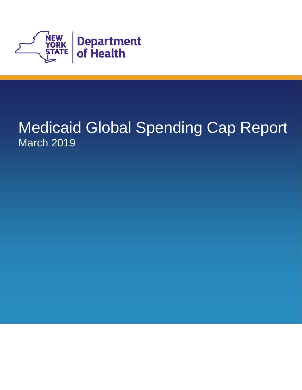

# Medicaid Global Spending Cap Report March 2019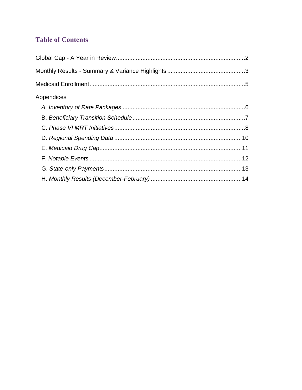### **Table of Contents**

| Appendices |  |
|------------|--|
|            |  |
|            |  |
|            |  |
|            |  |
|            |  |
|            |  |
|            |  |
|            |  |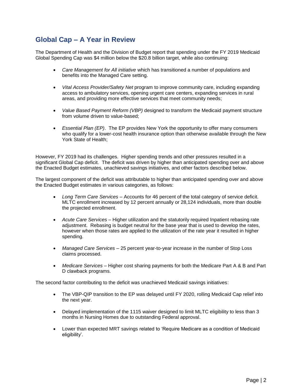### **Global Cap – A Year in Review**

 The Department of Health and the Division of Budget report that spending under the FY 2019 Medicaid Global Spending Cap was \$4 million below the \$20.8 billion target, while also continuing:

- benefits into the Managed Care setting. • *Care Management for All initiative* which has transitioned a number of populations and
- access to ambulatory services, opening urgent care centers, expanding services in rural • *Vital Access Provider/Safety Net* program to improve community care, including expanding areas, and providing more effective services that meet community needs;
- *Value Based Payment Reform (VBP)* designed to transform the Medicaid payment structure from volume driven to value-based;
- • *Essential Plan (EP)*. The EP provides New York the opportunity to offer many consumers who qualify for a lower-cost health insurance option than otherwise available through the New York State of Health;

 However, FY 2019 had its challenges. Higher spending trends and other pressures resulted in a significant Global Cap deficit. The deficit was driven by higher than anticipated spending over and above the Enacted Budget estimates, unachieved savings initiatives, and other factors described below.

The largest component of the deficit was attributable to higher than anticipated spending over and above the Enacted Budget estimates in various categories, as follows:

- *Long Term Care Services*  Accounts for 46 percent of the total category of service deficit. MLTC enrollment increased by 12 percent annually or 28,124 individuals, more than double the projected enrollment.
- • *Acute Care Services*  Higher utilization and the statutorily required Inpatient rebasing rate spending. adjustment. Rebasing is budget neutral for the base year that is used to develop the rates, however when those rates are applied to the utilization of the rate year it resulted in higher
- *Managed Care Services*  25 percent year-to-year increase in the number of Stop Loss claims processed.
- *Medicare Services*  Higher cost sharing payments for both the Medicare Part A & B and Part D clawback programs.

The second factor contributing to the deficit was unachieved Medicaid savings initiatives:

- The VBP-QIP transition to the EP was delayed until FY 2020, rolling Medicaid Cap relief into the next year.
- Delayed implementation of the 1115 waiver designed to limit MLTC eligibility to less than 3 months in Nursing Homes due to outstanding Federal approval.
- Lower than expected MRT savings related to 'Require Medicare as a condition of Medicaid eligibility'.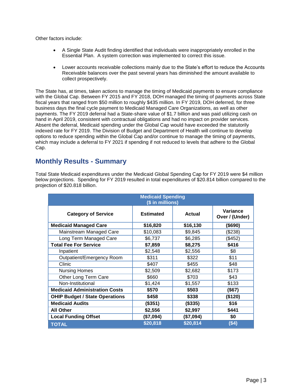Other factors include:

- A Single State Audit finding identified that individuals were inappropriately enrolled in the Essential Plan. A system correction was implemented to correct this issue.
- Lower accounts receivable collections mainly due to the State's effort to reduce the Accounts Receivable balances over the past several years has diminished the amount available to collect prospectively.

 indexed rate for FY 2019. The Division of Budget and Department of Health will continue to develop The State has, at times, taken actions to manage the timing of Medicaid payments to ensure compliance with the Global Cap. Between FY 2015 and FY 2018, DOH managed the timing of payments across State fiscal years that ranged from \$50 million to roughly \$435 million. In FY 2019, DOH deferred, for three business days the final cycle payment to Medicaid Managed Care Organizations, as well as other payments. The FY 2019 deferral had a State-share value of \$1.7 billion and was paid utilizing cash on hand in April 2019, consistent with contractual obligations and had no impact on provider services. Absent the deferral, Medicaid spending under the Global Cap would have exceeded the statutorily options to reduce spending within the Global Cap and/or continue to manage the timing of payments, which may include a deferral to FY 2021 if spending if not reduced to levels that adhere to the Global Cap.

#### **Monthly Results - Summary**

 Total State Medicaid expenditures under the Medicaid Global Spending Cap for FY 2019 were \$4 million below projections. Spending for FY 2019 resulted in total expenditures of \$20.814 billion compared to the projection of \$20.818 billion.

| <b>Medicaid Spending</b><br>(\$ in millions) |                  |               |                            |  |
|----------------------------------------------|------------------|---------------|----------------------------|--|
| <b>Category of Service</b>                   | <b>Estimated</b> | <b>Actual</b> | Variance<br>Over / (Under) |  |
| <b>Medicaid Managed Care</b>                 | \$16,820         | \$16,130      | $($ \$690)                 |  |
| Mainstream Managed Care                      | \$10,083         | \$9,845       | (\$238)                    |  |
| Long Term Managed Care                       | \$6,737          | \$6,285       | (\$452)                    |  |
| <b>Total Fee For Service</b>                 | \$7,859          | \$8,275       | \$416                      |  |
| Inpatient                                    | \$2,548          | \$2,556       | \$8                        |  |
| Outpatient/Emergency Room                    | \$311            | \$322         | \$11                       |  |
| Clinic                                       | \$407            | \$455         | \$48                       |  |
| <b>Nursing Homes</b>                         | \$2,509          | \$2,682       | \$173                      |  |
| Other Long Term Care                         | \$660            | \$703         | \$43                       |  |
| Non-Institutional                            | \$1,424          | \$1,557       | \$133                      |  |
| <b>Medicaid Administration Costs</b>         | \$570            | \$503         | (\$67)                     |  |
| <b>OHIP Budget / State Operations</b>        | \$458            | \$338         | (\$120)                    |  |
| <b>Medicaid Audits</b>                       | (\$351)          | (\$335)       | \$16                       |  |
| <b>All Other</b>                             | \$2,556          | \$2,997       | \$441                      |  |
| <b>Local Funding Offset</b>                  | (\$7,094)        | (\$7,094)     | \$0                        |  |
| <b>TOTAL</b>                                 | \$20,818         | \$20,814      | (\$4)                      |  |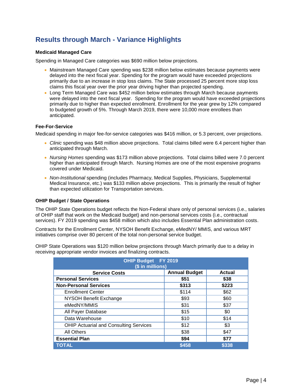### **Results through March - Variance Highlights**

#### **Medicaid Managed Care**

Spending in Managed Care categories was \$690 million below projections.

- delayed into the next fiscal year. Spending for the program would have exceeded projections • Mainstream Managed Care spending was \$238 million below estimates because payments were primarily due to an increase in stop loss claims. The State processed 25 percent more stop loss claims this fiscal year over the prior year driving higher than projected spending.
- were delayed into the next fiscal year. Spending for the program would have exceeded projections primarily due to higher than expected enrollment. Enrollment for the year grew by 12% compared • Long Term Managed Care was \$452 million below estimates through March because payments to budgeted growth of 5%. Through March 2019, there were 10,000 more enrollees than anticipated.

#### **Fee-For-Service**

Medicaid spending in major fee-for-service categories was \$416 million, or 5.3 percent, over projections.

- *Clinic* spending was \$48 million above projections. Total claims billed were 6.4 percent higher than anticipated through March.
- *Nursing Homes* spending was \$173 million above projections. Total claims billed were 7.0 percent higher than anticipated through March. Nursing Homes are one of the most expensive programs covered under Medicaid.
- Medical Insurance, etc.) was \$133 million above projections. This is primarily the result of higher • *Non-Institutional* spending (includes Pharmacy, Medical Supplies, Physicians, Supplemental than expected utilization for Transportation services.

#### **OHIP Budget / State Operations**

 services). FY 2019 spending was \$458 million which also includes Essential Plan administration costs. The OHIP State Operations budget reflects the Non-Federal share only of personal services (i.e., salaries of OHIP staff that work on the Medicaid budget) and non-personal services costs (i.e., contractual

Contracts for the Enrollment Center, NYSOH Benefit Exchange, eMedNY/ MMIS, and various MRT initiatives comprise over 80 percent of the total non-personal service budget.

 OHIP State Operations was \$120 million below projections through March primarily due to a delay in receiving appropriate vendor invoices and finalizing contracts.

| OHIP Budget FY 2019<br>(\$ in millions)       |                                |       |  |  |  |  |
|-----------------------------------------------|--------------------------------|-------|--|--|--|--|
| <b>Service Costs</b>                          | <b>Annual Budget</b><br>Actual |       |  |  |  |  |
| <b>Personal Services</b>                      | \$51                           | \$38  |  |  |  |  |
| <b>Non-Personal Services</b>                  | \$313                          | \$223 |  |  |  |  |
| <b>Enrollment Center</b>                      | \$114                          | \$62  |  |  |  |  |
| NYSOH Benefit Exchange                        | \$93                           | \$60  |  |  |  |  |
| eMedNY/MMIS                                   | \$31                           | \$37  |  |  |  |  |
| All Payer Database                            | \$15                           | \$0   |  |  |  |  |
| Data Warehouse                                | \$10                           | \$14  |  |  |  |  |
| <b>OHIP Actuarial and Consulting Services</b> | \$12                           | \$3   |  |  |  |  |
| All Others                                    | \$38                           | \$47  |  |  |  |  |
| \$77<br><b>Essential Plan</b><br>\$94         |                                |       |  |  |  |  |
| TOTAL                                         | \$458                          | \$338 |  |  |  |  |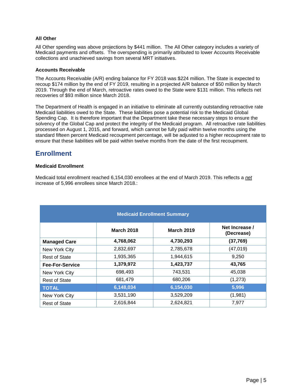#### **All Other**

 Medicaid payments and offsets. The overspending is primarily attributed to lower Accounts Receivable All Other spending was above projections by \$441 million. The All Other category includes a variety of collections and unachieved savings from several MRT initiatives.

#### **Accounts Receivable**

The Accounts Receivable (A/R) ending balance for FY 2018 was \$224 million. The State is expected to recoup \$174 million by the end of FY 2019, resulting in a projected A/R balance of \$50 million by March 2019. Through the end of March, retroactive rates owed to the State were \$131 million. This reflects net recoveries of \$93 million since March 2018.

 Medicaid liabilities owed to the State. These liabilities pose a potential risk to the Medicaid Global Spending Cap. It is therefore important that the Department take these necessary steps to ensure the solvency of the Global Cap and protect the integrity of the Medicaid program. All retroactive rate liabilities The Department of Health is engaged in an initiative to eliminate all currently outstanding retroactive rate processed on August 1, 2015, and forward, which cannot be fully paid within twelve months using the standard fifteen percent Medicaid recoupment percentage, will be adjusted to a higher recoupment rate to ensure that these liabilities will be paid within twelve months from the date of the first recoupment.

#### **Enrollment**

#### **Medicaid Enrollment**

 Medicaid total enrollment reached 6,154,030 enrollees at the end of March 2019. This reflects a *net*  increase of 5,996 enrollees since March 2018.:

| <b>Medicaid Enrollment Summary</b> |                   |                   |                              |  |
|------------------------------------|-------------------|-------------------|------------------------------|--|
|                                    | <b>March 2018</b> | <b>March 2019</b> | Net Increase /<br>(Decrease) |  |
| <b>Managed Care</b>                | 4,768,062         | 4,730,293         | (37, 769)                    |  |
| New York City                      | 2,832,697         | 2,785,678         | (47, 019)                    |  |
| <b>Rest of State</b>               | 1,935,365         | 1,944,615         | 9,250                        |  |
| <b>Fee-For-Service</b>             | 1,379,972         | 1,423,737         | 43,765                       |  |
| New York City                      | 698,493           | 743,531           | 45,038                       |  |
| <b>Rest of State</b>               | 681,479           | 680,206           | (1, 273)                     |  |
| <b>TOTAL</b>                       | 6,148,034         | 6,154,030         | 5,996                        |  |
| New York City                      | 3,531,190         | 3,529,209         | (1,981)                      |  |
| <b>Rest of State</b>               | 2,616,844         | 2,624,821         | 7,977                        |  |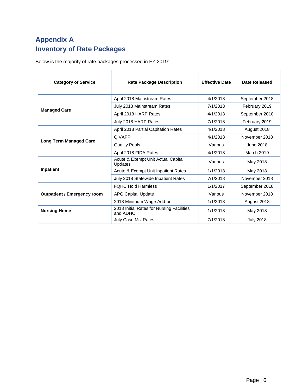# **Appendix A Inventory of Rate Packages**

Below is the majority of rate packages processed in FY 2019:

| <b>Category of Service</b>         | <b>Rate Package Description</b>                       | <b>Effective Date</b> | Date Released    |
|------------------------------------|-------------------------------------------------------|-----------------------|------------------|
|                                    | April 2018 Mainstream Rates                           | 4/1/2018              | September 2018   |
|                                    | July 2018 Mainstream Rates                            | 7/1/2018              | February 2019    |
| <b>Managed Care</b>                | April 2018 HARP Rates                                 | 4/1/2018              | September 2018   |
|                                    | July 2018 HARP Rates                                  | 7/1/2018              | February 2019    |
|                                    | April 2018 Partial Capitation Rates                   | 4/1/2018              | August 2018      |
|                                    | <b>QIVAPP</b>                                         | 4/1/2018              | November 2018    |
| <b>Long Term Managed Care</b>      | <b>Quality Pools</b>                                  | Various               | June 2018        |
|                                    | April 2018 FIDA Rates                                 | 4/1/2018              | March 2019       |
|                                    | Acute & Exempt Unit Actual Capital<br>Updates         | Various               | May 2018         |
| Inpatient                          | Acute & Exempt Unit Inpatient Rates                   | 1/1/2018              | May 2018         |
|                                    | July 2018 Statewide Inpatient Rates                   | 7/1/2018              | November 2018    |
|                                    | <b>FQHC Hold Harmless</b>                             | 1/1/2017              | September 2018   |
| <b>Outpatient / Emergency room</b> | <b>APG Capital Update</b>                             | Various               | November 2018    |
|                                    | 2018 Minimum Wage Add-on                              | 1/1/2018              | August 2018      |
| <b>Nursing Home</b>                | 2018 Initial Rates for Nursing Facilities<br>and ADHC | 1/1/2018              | May 2018         |
|                                    | July Case Mix Rates                                   | 7/1/2018              | <b>July 2018</b> |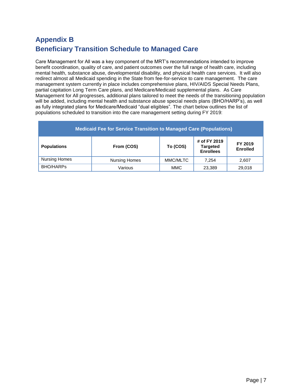# **Beneficiary Transition Schedule to Managed Care Appendix B**

 will be added, including mental health and substance abuse special needs plans (BHO/HARP's), as well as fully integrated plans for Medicare/Medicaid "dual eligibles". The chart below outlines the list of Care Management for All was a key component of the MRT's recommendations intended to improve benefit coordination, quality of care, and patient outcomes over the full range of health care, including mental health, substance abuse, developmental disability, and physical health care services. It will also redirect almost all Medicaid spending in the State from fee-for-service to care management. The care management system currently in place includes comprehensive plans, HIV/AIDS Special Needs Plans, partial capitation Long Term Care plans, and Medicare/Medicaid supplemental plans. As Care Management for All progresses, additional plans tailored to meet the needs of the transitioning population populations scheduled to transition into the care management setting during FY 2019:

| <b>Medicaid Fee for Service Transition to Managed Care (Populations)</b>                                                          |                      |          |       |       |  |
|-----------------------------------------------------------------------------------------------------------------------------------|----------------------|----------|-------|-------|--|
| # of FY 2019<br>FY 2019<br>To (COS)<br>From (COS)<br><b>Populations</b><br><b>Targeted</b><br><b>Enrolled</b><br><b>Enrollees</b> |                      |          |       |       |  |
| <b>Nursing Homes</b>                                                                                                              | <b>Nursing Homes</b> | MMC/MLTC | 7.254 | 2.607 |  |
| <b>BHO/HARPS</b><br><b>MMC</b><br>Various<br>29,018<br>23.389                                                                     |                      |          |       |       |  |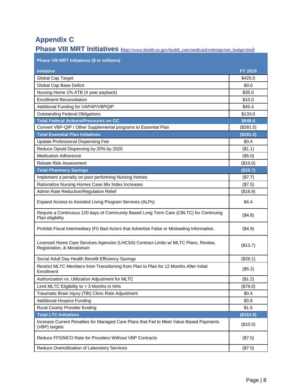# **Appendix C**

|  |  | Phase VIII MRT Initiatives (http://www.health.ny.gov/health_care/medicaid/redesign/mrt_budget.htm) |
|--|--|----------------------------------------------------------------------------------------------------|
|  |  |                                                                                                    |

| Phase VIII MRT Initiatives (\$ in millions)                                                                       |           |
|-------------------------------------------------------------------------------------------------------------------|-----------|
| <b>Initiative</b>                                                                                                 | FY 2019   |
| Global Cap Target                                                                                                 | \$425.0   |
| Global Cap Base Deficit                                                                                           | \$0.0     |
| Nursing Home 1% ATB (4 year payback)                                                                              | \$35.0    |
| <b>Enrollment Reconciliation</b>                                                                                  | \$10.0    |
| Additional Funding for VAPAP/VBPQIP                                                                               | \$45.4    |
| <b>Outstanding Federal Obligations</b>                                                                            | \$133.0   |
| <b>Total Federal Actions/Pressures on GC</b>                                                                      | \$648.4   |
| Convert VBP-QIP / Other Supplemental programs to Essential Plan                                                   | (\$281.5) |
| <b>Total Essential Plan Initiatives</b>                                                                           | (\$281.5) |
| Update Professional Dispensing Fee                                                                                | \$0.4     |
| Reduce Opioid Dispensing by 20% by 2020                                                                           | (\$1.1)   |
| <b>Medication Adherence</b>                                                                                       | (\$5.0)   |
| <b>Rebate Risk Assessment</b>                                                                                     | (\$15.0)  |
| <b>Total Pharmacy Savings</b>                                                                                     | (\$20.7)  |
| Implement a penalty on poor performing Nursing Homes                                                              | (\$7.7)   |
| Rationalize Nursing Homes Case Mix Index Increases                                                                | (\$7.5)   |
| Admin Rate Reduction/Regulation Relief                                                                            | (\$18.9)  |
| Expand Access to Assisted Living Program Services (ALPs)                                                          | \$4.4     |
| Require a Continuous 120 days of Community Based Long Term Care (CBLTC) for Continuing<br>Plan eligibility        | (\$4.8)   |
| Prohibit Fiscal Intermediary (FI) Bad Actors that Advertise False or Misleading Information.                      | (\$4.9)   |
| Licensed Home Care Services Agencies (LHCSA) Contract Limits w/ MLTC Plans, Review,<br>Registration, & Moratorium | (\$13.7)  |
| Social Adult Day Health Benefit Efficiency Savings                                                                | (\$28.1)  |
| Restrict MLTC Members from Transitioning from Plan to Plan for 12 Months After Initial<br>Enrollment              | (\$5.2)   |
| Authorization vs. Utilization Adjustment for MLTC                                                                 | (\$1.2)   |
| Limit MLTC Eligibility to < 3 Months in NHs                                                                       | (\$79.0)  |
| Traumatic Brain Injury (TBI) Clinic Rate Adjustment                                                               | \$0.4     |
| <b>Additional Hospice Funding</b>                                                                                 | \$0.9     |
| Rural County Provider funding                                                                                     | \$1.5     |
| <b>Total LTC Initiatives</b>                                                                                      | (\$163.9) |
| Increase Current Penalties for Managed Care Plans that Fail to Meet Value Based Payments<br>(VBP) targets         | (\$10.0)  |
| Reduce FFS/MCO Rate for Providers Without VBP Contracts                                                           | (\$7.5)   |
| Reduce Overutilization of Laboratory Services                                                                     | (\$7.5)   |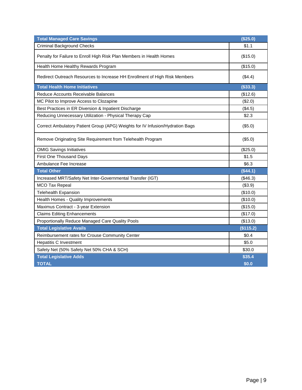| <b>Total Managed Care Savings</b>                                             | (\$25.0)  |
|-------------------------------------------------------------------------------|-----------|
| <b>Criminal Background Checks</b>                                             | \$1.1     |
| Penalty for Failure to Enroll High Risk Plan Members in Health Homes          | (\$15.0)  |
| Health Home Healthy Rewards Program                                           | (\$15.0)  |
| Redirect Outreach Resources to Increase HH Enrollment of High Risk Members    | (\$4.4)   |
| <b>Total Health Home Initiatives</b>                                          | (\$33.3)  |
| Reduce Accounts Receivable Balances                                           | (\$12.6)  |
| MC Pilot to Improve Access to Clozapine                                       | (\$2.0)   |
| Best Practices in ER Diversion & Inpatient Discharge                          | (\$4.5)   |
| Reducing Unnecessary Utilization - Physical Therapy Cap                       | \$2.3     |
| Correct Ambulatory Patient Group (APG) Weights for IV Infusion/Hydration Bags | (\$5.0)   |
| Remove Originating Site Requirement from Telehealth Program                   | (\$5.0)   |
| <b>OMIG Savings Initiatives</b>                                               | (\$25.0)  |
| <b>First One Thousand Days</b>                                                | \$1.5     |
| Ambulance Fee Increase                                                        | \$6.3     |
| <b>Total Other</b>                                                            | (\$44.1)  |
| Increased MRT/Safety Net Inter-Governmental Transfer (IGT)                    | (\$46.3)  |
| <b>MCO Tax Repeal</b>                                                         | (\$3.9)   |
| <b>Telehealth Expansion</b>                                                   | (\$10.0)  |
| Health Homes - Quality Improvements                                           | (\$10.0)  |
| Maximus Contract - 3-year Extension                                           | (\$15.0)  |
| <b>Claims Editing Enhancements</b>                                            | (\$17.0)  |
| Proportionally Reduce Managed Care Quality Pools                              | (\$13.0)  |
| <b>Total Legislative Avails</b>                                               | (\$115.2) |
| Reimbursement rates for Crouse Community Center                               | \$0.4     |
| <b>Hepatitis C Investment</b>                                                 | \$5.0     |
| Safety Net (50% Safety Net 50% CHA & SCH)                                     | \$30.0    |
| <b>Total Legislative Adds</b>                                                 | \$35.4    |
| <b>TOTAL</b>                                                                  | \$0.0     |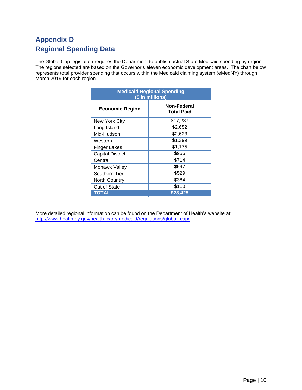# **Regional Spending Data Appendix D**

 The Global Cap legislation requires the Department to publish actual State Medicaid spending by region. The regions selected are based on the Governor's eleven economic development areas. The chart below represents total provider spending that occurs within the Medicaid claiming system (eMedNY) through March 2019 for each region.

| <b>Medicaid Regional Spending</b><br>(\$ in millions) |                                  |  |  |
|-------------------------------------------------------|----------------------------------|--|--|
| <b>Economic Region</b>                                | Non-Federal<br><b>Total Paid</b> |  |  |
| New York City                                         | \$17,287                         |  |  |
| Long Island                                           | \$2,652                          |  |  |
| Mid-Hudson                                            | \$2,623                          |  |  |
| Western                                               | \$1,399                          |  |  |
| <b>Finger Lakes</b>                                   | \$1,175                          |  |  |
| <b>Capital District</b>                               | \$956                            |  |  |
| Central                                               | \$714                            |  |  |
| Mohawk Valley                                         | \$597                            |  |  |
| Southern Tier                                         | \$529                            |  |  |
| <b>North Country</b>                                  | \$384                            |  |  |
| Out of State                                          | \$110                            |  |  |
| <b>TOTAL</b><br>\$28,425                              |                                  |  |  |

More detailed regional information can be found on the Department of Health's website at: [http://www.health.ny.gov/health\\_care/medicaid/regulations/global\\_cap/](http://www.health.ny.gov/health_care/medicaid/regulations/global_cap/)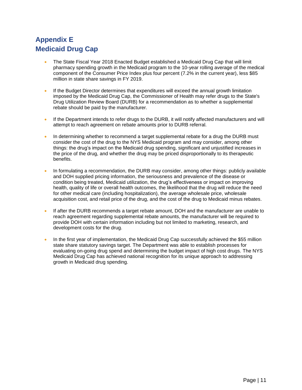# **Medicaid Drug Cap Appendix E**

- The State Fiscal Year 2018 Enacted Budget established a Medicaid Drug Cap that will limit pharmacy spending growth in the Medicaid program to the 10-year rolling average of the medical component of the Consumer Price Index plus four percent (7.2% in the current year), less \$85 million in state share savings in FY 2019.
- Drug Utilization Review Board (DURB) for a recommendation as to whether a supplemental If the Budget Director determines that expenditures will exceed the annual growth limitation imposed by the Medicaid Drug Cap, the Commissioner of Health may refer drugs to the State's rebate should be paid by the manufacturer.
- If the Department intends to refer drugs to the DURB, it will notify affected manufacturers and will attempt to reach agreement on rebate amounts prior to DURB referral.
- In determining whether to recommend a target supplemental rebate for a drug the DURB must consider the cost of the drug to the NYS Medicaid program and may consider, among other things: the drug's impact on the Medicaid drug spending, significant and unjustified increases in the price of the drug, and whether the drug may be priced disproportionally to its therapeutic benefits.
- health, quality of life or overall health outcomes, the likelihood that the drug will reduce the need • In formulating a recommendation, the DURB may consider, among other things: publicly available and DOH supplied pricing information, the seriousness and prevalence of the disease or condition being treated, Medicaid utilization, the drug's effectiveness or impact on improving for other medical care (including hospitalization), the average wholesale price, wholesale acquisition cost, and retail price of the drug, and the cost of the drug to Medicaid minus rebates.
- If after the DURB recommends a target rebate amount, DOH and the manufacturer are unable to reach agreement regarding supplemental rebate amounts, the manufacturer will be required to provide DOH with certain information including but not limited to marketing, research, and development costs for the drug.
- In the first year of implementation, the Medicaid Drug Cap successfully achieved the \$55 million state share statutory savings target. The Department was able to establish processes for evaluating on-going drug spend and determining the budget impact of high cost drugs. The NYS Medicaid Drug Cap has achieved national recognition for its unique approach to addressing growth in Medicaid drug spending.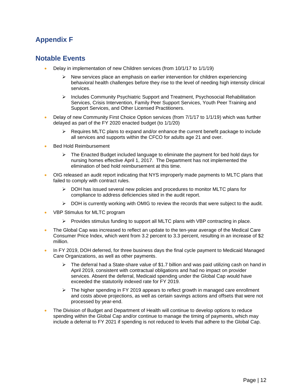### **Appendix F**

#### **Notable Events**

- Delay in implementation of new Children services (from 10/1/17 to 1/1/19)
	- behavioral health challenges before they rise to the level of needing high intensity clinical  $\triangleright$  New services place an emphasis on earlier intervention for children experiencing services.
	- ➢ Includes Community Psychiatric Support and Treatment, Psychosocial Rehabilitation Services, Crisis Intervention, Family Peer Support Services, Youth Peer Training and Support Services, and Other Licensed Practitioners.
- Delay of new Community First Choice Option services (from 7/1/17 to 1/1/19) which was further delayed as part of the FY 2020 enacted budget (to 1/1/20)
	- ➢ Requires MLTC plans to expand and/or enhance the current benefit package to include all services and supports within the CFCO for adults age 21 and over.
- Bed Hold Reimbursement
	- $\triangleright$  The Enacted Budget included language to eliminate the payment for bed hold days for nursing homes effective April 1, 2017. The Department has not implemented the elimination of bed hold reimbursement at this time.
- failed to comply with contract rules. • OIG released an audit report indicating that NYS improperly made payments to MLTC plans that
	- compliance to address deficiencies sited in the audit report. ➢ DOH has issued several new policies and procedures to monitor MLTC plans for
	- $\triangleright$  DOH is currently working with OMIG to review the records that were subject to the audit.
- VBP Stimulus for MLTC program
	- $\triangleright$  Provides stimulus funding to support all MLTC plans with VBP contracting in place.
- The Global Cap was increased to reflect an update to the ten-year average of the Medical Care Consumer Price Index, which went from 3.2 percent to 3.3 percent, resulting in an increase of \$2 million.
- In FY 2019, DOH deferred, for three business days the final cycle payment to Medicaid Managed Care Organizations, as well as other payments.
	- $\triangleright$  The deferral had a State-share value of \$1.7 billion and was paid utilizing cash on hand in April 2019, consistent with contractual obligations and had no impact on provider services. Absent the deferral, Medicaid spending under the Global Cap would have exceeded the statutorily indexed rate for FY 2019.
	- $\triangleright$  The higher spending in FY 2019 appears to reflect growth in managed care enrollment and costs above projections, as well as certain savings actions and offsets that were not processed by year-end.
- The Division of Budget and Department of Health will continue to develop options to reduce include a deferral to FY 2021 if spending is not reduced to levels that adhere to the Global Cap. spending within the Global Cap and/or continue to manage the timing of payments, which may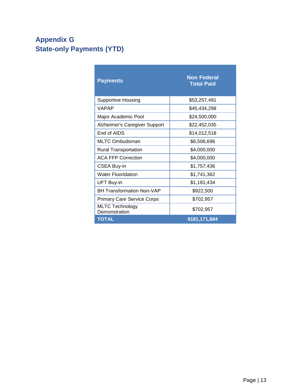# **Appendix G State-only Payments (YTD)**

| <b>Payments</b>                         | <b>Non Federal</b><br><b>Total Paid</b> |
|-----------------------------------------|-----------------------------------------|
| <b>Supportive Housing</b>               | \$53,257,491                            |
| <b>VAPAP</b>                            | \$45,434,298                            |
| Major Academic Pool                     | \$24,500,000                            |
| Alzheimer's Caregiver Support           | \$22,452,035                            |
| End of AIDS                             | \$14,012,518                            |
| <b>MLTC Ombudsman</b>                   | \$6,506,696                             |
| <b>Rural Transportation</b>             | \$4,000,000                             |
| <b>ACA FFP Correction</b>               | \$4,000,000                             |
| <b>CSEA Buy-in</b>                      | \$1,757,436                             |
| <b>Water Fluoridation</b>               | \$1,741,362                             |
| UFT Buy-in                              | \$1,181,434                             |
| <b>BH Transformation Non-VAP</b>        | \$922,500                               |
| <b>Primary Care Service Corps</b>       | \$702,957                               |
| <b>MLTC Technology</b><br>Demonstration | \$702,957                               |
| <b>TOTAL</b>                            | \$181,171,684                           |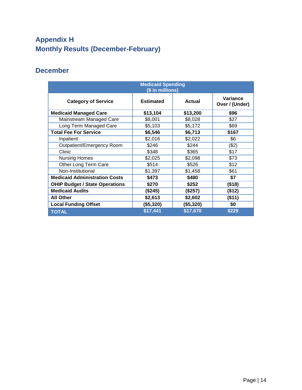# **Appendix H Monthly Results (December-February)**

### **December**

| <b>Medicaid Spending</b><br>(\$ in millions) |                  |               |                            |  |
|----------------------------------------------|------------------|---------------|----------------------------|--|
| <b>Category of Service</b>                   | <b>Estimated</b> | <b>Actual</b> | Variance<br>Over / (Under) |  |
| <b>Medicaid Managed Care</b>                 | \$13,104         | \$13,200      | \$96                       |  |
| Mainstream Managed Care                      | \$8,001          | \$8,028       | \$27                       |  |
| Long Term Managed Care                       | \$5,103          | \$5,172       | \$69                       |  |
| <b>Total Fee For Service</b>                 | \$6,546          | \$6,713       | \$167                      |  |
| Inpatient                                    | \$2,016          | \$2,022       | \$6                        |  |
| Outpatient/Emergency Room                    | \$246            | \$244         | (\$2)                      |  |
| Clinic                                       | \$348            | \$365         | \$17                       |  |
| <b>Nursing Homes</b>                         | \$2,025          | \$2,098       | \$73                       |  |
| Other Long Term Care                         | \$514            | \$526         | \$12                       |  |
| Non-Institutional                            | \$1,397          | \$1,458       | \$61                       |  |
| <b>Medicaid Administration Costs</b>         | \$473            | \$480         | \$7                        |  |
| <b>OHIP Budget / State Operations</b>        | \$270            | \$252         | (\$18)                     |  |
| <b>Medicaid Audits</b>                       | (\$245)          | (\$257)       | (\$12)                     |  |
| <b>All Other</b>                             | \$2,613          | \$2,602       | (\$11)                     |  |
| <b>Local Funding Offset</b>                  | (\$5,320)        | (\$5,320)     | \$0                        |  |
| <b>TOTAL</b>                                 | \$17,441         | \$17,670      | \$229                      |  |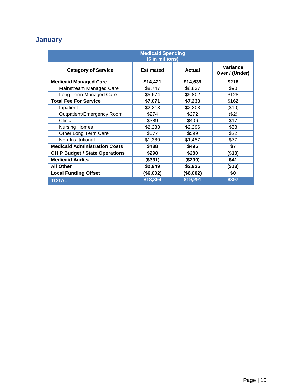# **January**

| <b>Medicaid Spending</b><br>(\$ in millions) |                  |               |                            |  |
|----------------------------------------------|------------------|---------------|----------------------------|--|
| <b>Category of Service</b>                   | <b>Estimated</b> | <b>Actual</b> | Variance<br>Over / (Under) |  |
| <b>Medicaid Managed Care</b>                 | \$14,421         | \$14,639      | \$218                      |  |
| Mainstream Managed Care                      | \$8,747          | \$8,837       | \$90                       |  |
| Long Term Managed Care                       | \$5,674          | \$5,802       | \$128                      |  |
| <b>Total Fee For Service</b>                 | \$7,071          | \$7,233       | \$162                      |  |
| Inpatient                                    | \$2,213          | \$2,203       | (\$10)                     |  |
| Outpatient/Emergency Room                    | \$274            | \$272         | (\$2)                      |  |
| Clinic                                       | \$389            | \$406         | \$17                       |  |
| <b>Nursing Homes</b>                         | \$2,238          | \$2,296       | \$58                       |  |
| Other Long Term Care                         | \$577            | \$599         | \$22                       |  |
| Non-Institutional                            | \$1,380          | \$1,457       | \$77                       |  |
| <b>Medicaid Administration Costs</b>         | \$488            | \$495         | \$7                        |  |
| <b>OHIP Budget / State Operations</b>        | \$298            | \$280         | (\$18)                     |  |
| <b>Medicaid Audits</b>                       | (\$331)          | (\$290)       | \$41                       |  |
| <b>All Other</b>                             | \$2,949          | \$2,936       | (\$13)                     |  |
| <b>Local Funding Offset</b>                  | (\$6,002)        | (\$6,002)     | \$0                        |  |
| <b>TOTAL</b>                                 | \$18,894         | \$19,291      | \$397                      |  |